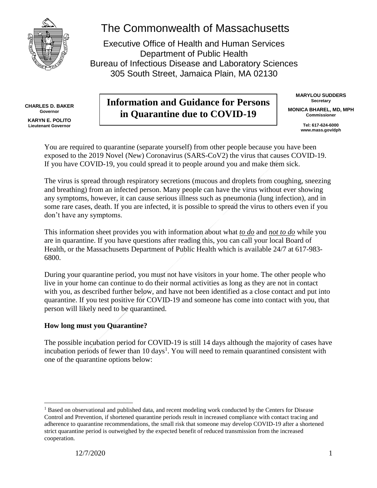

# The Commonwealth of Massachusetts

Executive Office of Health and Human Services Department of Public Health Bureau of Infectious Disease and Laboratory Sciences 305 South Street, Jamaica Plain, MA 02130

**CHARLES D. BAKER Governor KARYN E. POLITO Lieutenant Governor**

# **Information and Guidance for Persons in Quarantine due to COVID-19**

**MARYLOU SUDDERS Secretary MONICA BHAREL, MD, MPH Commissioner**

> **Tel: 617-624-6000 www.mass.gov/dph**

You are required to quarantine (separate yourself) from other people because you have been exposed to the 2019 Novel (New) Coronavirus (SARS-CoV2) the virus that causes COVID-19. If you have COVID-19, you could spread it to people around you and make them sick.

The virus is spread through respiratory secretions (mucous and droplets from coughing, sneezing and breathing) from an infected person. Many people can have the virus without ever showing any symptoms, however, it can cause serious illness such as pneumonia (lung infection), and in some rare cases, death. If you are infected, it is possible to spread the virus to others even if you don't have any symptoms.

This information sheet provides you with information about what *to do* and *not to do* while you are in quarantine. If you have questions after reading this, you can call your local Board of Health, or the Massachusetts Department of Public Health which is available 24/7 at 617-983- 6800.

During your quarantine period, you must not have visitors in your home. The other people who live in your home can continue to do their normal activities as long as they are not in contact with you, as described further below, and have not been identified as a close contact and put into quarantine. If you test positive for COVID-19 and someone has come into contact with you, that person will likely need to be quarantined.

# **How long must you Quarantine?**

The possible incubation period for COVID-19 is still 14 days although the majority of cases have incubation periods of fewer than 10 days<sup>1</sup>. You will need to remain quarantined consistent with one of the quarantine options below:

 $\overline{a}$ 

<sup>&</sup>lt;sup>1</sup> Based on observational and published data, and recent modeling work conducted by the Centers for Disease Control and Prevention, if shortened quarantine periods result in increased compliance with contact tracing and adherence to quarantine recommendations, the small risk that someone may develop COVID-19 after a shortened strict quarantine period is outweighed by the expected benefit of reduced transmission from the increased cooperation.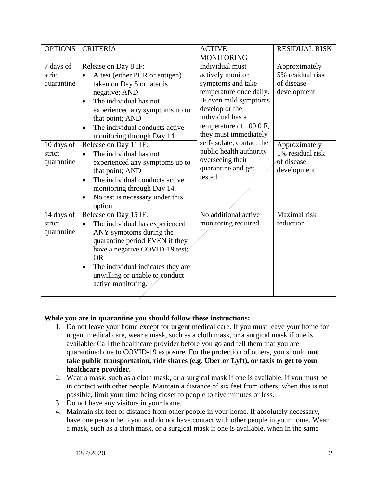| <b>OPTIONS</b> | <b>CRITERIA</b>                                | <b>ACTIVE</b>                          | <b>RESIDUAL RISK</b> |
|----------------|------------------------------------------------|----------------------------------------|----------------------|
|                |                                                | <b>MONITORING</b>                      |                      |
| 7 days of      | Release on Day 8 IF:                           | Individual must                        | Approximately        |
| strict         | A test (either PCR or antigen)                 | actively monitor                       | 5% residual risk     |
| quarantine     | taken on Day 5 or later is                     | symptoms and take                      | of disease           |
|                | negative; AND                                  | temperature once daily.                | development          |
|                | The individual has not                         | IF even mild symptoms                  |                      |
|                | experienced any symptoms up to                 | develop or the                         |                      |
|                | that point; AND                                | individual has a                       |                      |
|                | The individual conducts active                 | temperature of 100.0 F,                |                      |
|                | monitoring through Day 14                      | they must immediately                  |                      |
| 10 days of     | Release on Day 11 IF:                          | self-isolate, contact the              | Approximately        |
| strict         | The individual has not                         | public health authority                | 1% residual risk     |
| quarantine     | experienced any symptoms up to                 | overseeing their<br>quarantine and get | of disease           |
|                | that point; AND                                | tested.                                | development          |
|                | The individual conducts active<br>$\bullet$    |                                        |                      |
|                | monitoring through Day 14.                     |                                        |                      |
|                | No test is necessary under this<br>$\bullet$   |                                        |                      |
|                | option                                         |                                        |                      |
| 14 days of     | Release on Day 15 IF:                          | No additional active                   | Maximal risk         |
| strict         | The individual has experienced<br>$\bullet$    | monitoring required                    | reduction            |
| quarantine     | ANY symptoms during the                        |                                        |                      |
|                | quarantine period EVEN if they                 |                                        |                      |
|                | have a negative COVID-19 test;                 |                                        |                      |
|                | <b>OR</b>                                      |                                        |                      |
|                | The individual indicates they are<br>$\bullet$ |                                        |                      |
|                | unwilling or unable to conduct                 |                                        |                      |
|                | active monitoring.                             |                                        |                      |
|                |                                                |                                        |                      |

# **While you are in quarantine you should follow these instructions:**

- 1. Do not leave your home except for urgent medical care. If you must leave your home for urgent medical care, wear a mask, such as a cloth mask, or a surgical mask if one is available. Call the healthcare provider before you go and tell them that you are quarantined due to COVID-19 exposure. For the protection of others, you should **not take public transportation, ride shares (e.g. Uber or Lyft), or taxis to get to your healthcare provider.**
- 2. Wear a mask, such as a cloth mask, or a surgical mask if one is available, if you must be in contact with other people. Maintain a distance of six feet from others; when this is not possible, limit your time being closer to people to five minutes or less.
- 3. Do not have any visitors in your home.
- 4. Maintain six feet of distance from other people in your home. If absolutely necessary, have one person help you and do not have contact with other people in your home. Wear a mask, such as a cloth mask, or a surgical mask if one is available, when in the same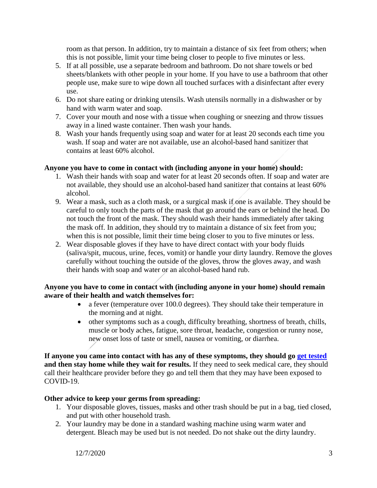room as that person. In addition, try to maintain a distance of six feet from others; when this is not possible, limit your time being closer to people to five minutes or less.

- 5. If at all possible, use a separate bedroom and bathroom. Do not share towels or bed sheets/blankets with other people in your home. If you have to use a bathroom that other people use, make sure to wipe down all touched surfaces with a disinfectant after every use.
- 6. Do not share eating or drinking utensils. Wash utensils normally in a dishwasher or by hand with warm water and soap.
- 7. Cover your mouth and nose with a tissue when coughing or sneezing and throw tissues away in a lined waste container. Then wash your hands.
- 8. Wash your hands frequently using soap and water for at least 20 seconds each time you wash. If soap and water are not available, use an alcohol-based hand sanitizer that contains at least 60% alcohol.

### **Anyone you have to come in contact with (including anyone in your home) should:**

- 1. Wash their hands with soap and water for at least 20 seconds often. If soap and water are not available, they should use an alcohol-based hand sanitizer that contains at least 60% alcohol.
- 9. Wear a mask, such as a cloth mask, or a surgical mask if one is available. They should be careful to only touch the parts of the mask that go around the ears or behind the head. Do not touch the front of the mask. They should wash their hands immediately after taking the mask off. In addition, they should try to maintain a distance of six feet from you; when this is not possible, limit their time being closer to you to five minutes or less.
- 2. Wear disposable gloves if they have to have direct contact with your body fluids (saliva/spit, mucous, urine, feces, vomit) or handle your dirty laundry. Remove the gloves carefully without touching the outside of the gloves, throw the gloves away, and wash their hands with soap and water or an alcohol-based hand rub.

#### **Anyone you have to come in contact with (including anyone in your home) should remain aware of their health and watch themselves for:**

- a fever (temperature over 100.0 degrees). They should take their temperature in the morning and at night.
- other symptoms such as a cough, difficulty breathing, shortness of breath, chills, muscle or body aches, fatigue, sore throat, headache, congestion or runny nose, new onset loss of taste or smell, nausea or vomiting, or diarrhea.

**If anyone you came into contact with has any of these symptoms, they should go [get tested](https://www.mass.gov/info-details/about-covid-19-testing) and then stay home while they wait for results.** If they need to seek medical care, they should call their healthcare provider before they go and tell them that they may have been exposed to COVID-19.

#### **Other advice to keep your germs from spreading:**

- 1. Your disposable gloves, tissues, masks and other trash should be put in a bag, tied closed, and put with other household trash.
- 2. Your laundry may be done in a standard washing machine using warm water and detergent. Bleach may be used but is not needed. Do not shake out the dirty laundry.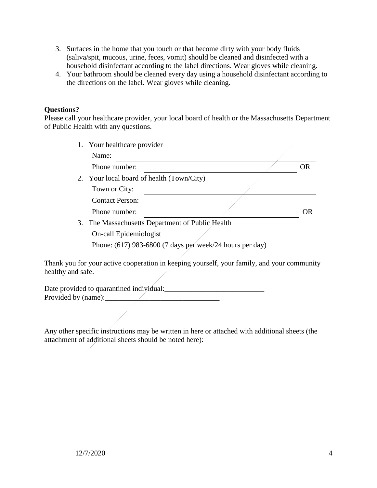- 3. Surfaces in the home that you touch or that become dirty with your body fluids (saliva/spit, mucous, urine, feces, vomit) should be cleaned and disinfected with a household disinfectant according to the label directions. Wear gloves while cleaning.
- 4. Your bathroom should be cleaned every day using a household disinfectant according to the directions on the label. Wear gloves while cleaning.

#### **Questions?**

Please call your healthcare provider, your local board of health or the Massachusetts Department of Public Health with any questions.

| 1. Your healthcare provider                                |  |  |  |
|------------------------------------------------------------|--|--|--|
| Name:                                                      |  |  |  |
| Phone number:                                              |  |  |  |
| 2. Your local board of health (Town/City)                  |  |  |  |
| Town or City:                                              |  |  |  |
| <b>Contact Person:</b>                                     |  |  |  |
| Phone number:                                              |  |  |  |
| 3. The Massachusetts Department of Public Health           |  |  |  |
| On-call Epidemiologist                                     |  |  |  |
| Phone: $(617)$ 983-6800 (7 days per week/24 hours per day) |  |  |  |
|                                                            |  |  |  |

Thank you for your active cooperation in keeping yourself, your family, and your community healthy and safe.

Date provided to quarantined individual:\_\_\_\_\_\_\_\_\_\_\_\_\_\_\_\_\_\_\_\_\_\_\_\_\_\_\_ Provided by (name):\_\_\_\_\_\_\_\_\_\_\_\_\_\_\_\_\_\_\_\_\_\_\_\_\_\_\_\_\_\_\_

Any other specific instructions may be written in here or attached with additional sheets (the attachment of additional sheets should be noted here):